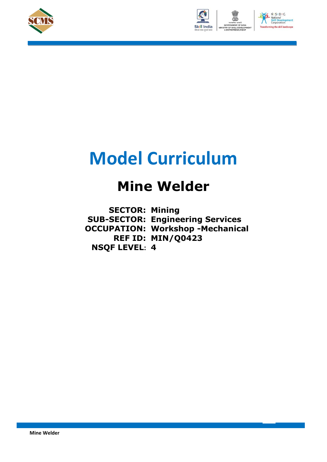





# **Model Curriculum**

### **Mine Welder**

**SECTOR: Mining SUB-SECTOR: Engineering Services OCCUPATION: Workshop -Mechanical REF ID: MIN/Q0423 NSQF LEVEL: 4**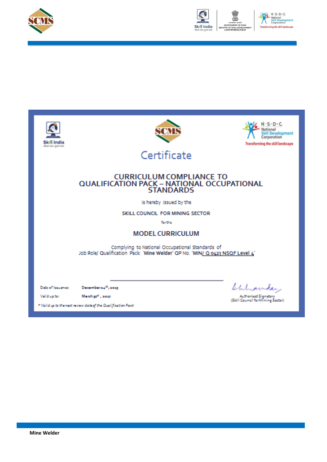



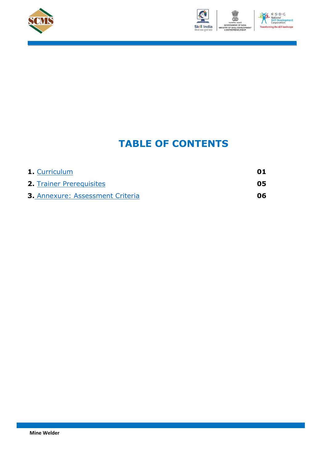



#### $N \cdot S \cdot D \cdot C$ nt the skill lan

### **TABLE OF CONTENTS**

| <b>1.</b> Curriculum                    | 01 |
|-----------------------------------------|----|
| <b>2. Trainer Prerequisites</b>         | 05 |
| <b>3. Annexure: Assessment Criteria</b> | 06 |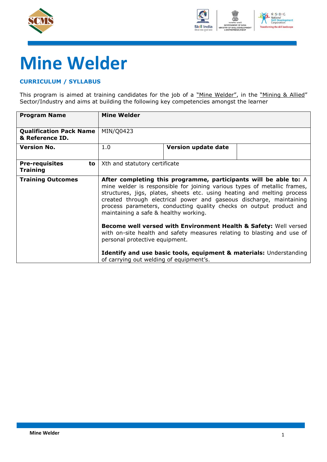



# **Mine Welder**

#### <span id="page-3-0"></span>**CURRICULUM / SYLLABUS**

This program is aimed at training candidates for the job of a "Mine Welder", in the "Mining & Allied" Sector/Industry and aims at building the following key competencies amongst the learner

| <b>Program Name</b>                               | <b>Mine Welder</b>                                                                                                                                                            |                                                                                                                                                                                                                                                                                                                                                                                                                |  |  |  |
|---------------------------------------------------|-------------------------------------------------------------------------------------------------------------------------------------------------------------------------------|----------------------------------------------------------------------------------------------------------------------------------------------------------------------------------------------------------------------------------------------------------------------------------------------------------------------------------------------------------------------------------------------------------------|--|--|--|
| <b>Qualification Pack Name</b><br>& Reference ID. | MIN/Q0423                                                                                                                                                                     |                                                                                                                                                                                                                                                                                                                                                                                                                |  |  |  |
| <b>Version No.</b>                                | 1.0<br>Version update date                                                                                                                                                    |                                                                                                                                                                                                                                                                                                                                                                                                                |  |  |  |
| <b>Pre-requisites</b><br>to l<br><b>Training</b>  | Xth and statutory certificate                                                                                                                                                 |                                                                                                                                                                                                                                                                                                                                                                                                                |  |  |  |
| <b>Training Outcomes</b>                          |                                                                                                                                                                               | After completing this programme, participants will be able to: A<br>mine welder is responsible for joining various types of metallic frames,<br>structures, jigs, plates, sheets etc. using heating and melting process<br>created through electrical power and gaseous discharge, maintaining<br>process parameters, conducting quality checks on output product and<br>maintaining a safe & healthy working. |  |  |  |
|                                                   | Become well versed with Environment Health & Safety: Well versed<br>with on-site health and safety measures relating to blasting and use of<br>personal protective equipment. |                                                                                                                                                                                                                                                                                                                                                                                                                |  |  |  |
|                                                   | <b>Identify and use basic tools, equipment &amp; materials: Understanding</b><br>of carrying out welding of equipment's.                                                      |                                                                                                                                                                                                                                                                                                                                                                                                                |  |  |  |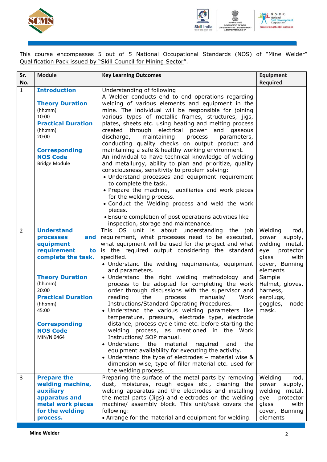



This course encompasses 5 out of 5 National Occupational Standards (NOS) of "Mine Welder" Qualification Pack issued by "Skill Council for Mining Sector".

| Sr.<br>No.     | <b>Module</b>                                                                                                                                                                                                                                                | <b>Key Learning Outcomes</b>                                                                                                                                                                                                                                                                                                                                                                                                                                                                                                                                                                                                                                                                                                                                                                                                                                                                                                                                                                                                                                          | <b>Equipment</b><br><b>Required</b>                                                                                                                                                                         |
|----------------|--------------------------------------------------------------------------------------------------------------------------------------------------------------------------------------------------------------------------------------------------------------|-----------------------------------------------------------------------------------------------------------------------------------------------------------------------------------------------------------------------------------------------------------------------------------------------------------------------------------------------------------------------------------------------------------------------------------------------------------------------------------------------------------------------------------------------------------------------------------------------------------------------------------------------------------------------------------------------------------------------------------------------------------------------------------------------------------------------------------------------------------------------------------------------------------------------------------------------------------------------------------------------------------------------------------------------------------------------|-------------------------------------------------------------------------------------------------------------------------------------------------------------------------------------------------------------|
| $\mathbf{1}$   | <b>Introduction</b><br><b>Theory Duration</b><br>(hh:mm)<br>10:00<br><b>Practical Duration</b><br>(hh:mm)<br>20:00<br><b>Corresponding</b><br><b>NOS Code</b><br><b>Bridge Module</b>                                                                        | Understanding of following<br>A Welder conducts end to end operations regarding<br>welding of various elements and equipment in the<br>mine. The individual will be responsible for joining<br>various types of metallic frames, structures, jigs,<br>plates, sheets etc. using heating and melting process<br>created through electrical power and gaseous<br>maintaining<br>discharge,<br>process<br>parameters,<br>conducting quality checks on output product and<br>maintaining a safe & healthy working environment.<br>An individual to have technical knowledge of welding<br>and metallurgy, ability to plan and prioritize, quality<br>consciousness, sensitivity to problem solving:<br>• Understand processes and equipment requirement<br>to complete the task.<br>• Prepare the machine, auxiliaries and work pieces<br>for the welding process.<br>• Conduct the Welding process and weld the work<br>pieces.<br>• Ensure completion of post operations activities like<br>inspection, storage and maintenance.                                        |                                                                                                                                                                                                             |
| $\overline{2}$ | <b>Understand</b><br>and<br><b>processes</b><br>equipment<br>requirement<br>to<br>complete the task.<br><b>Theory Duration</b><br>(hh:mm)<br>20:00<br><b>Practical Duration</b><br>(hh:mm)<br>45:00<br><b>Corresponding</b><br><b>NOS Code</b><br>MIN/N 0464 | This OS unit is about understanding<br>the<br>job<br>requirement, what processes need to be executed,<br>what equipment will be used for the project and what<br>is the required output considering the standard<br>specified.<br>• Understand the welding requirements, equipment<br>and parameters.<br>· Understand the right welding methodology and<br>process to be adopted for completing the work<br>order through discussions with the supervisor and<br>reading<br>the<br>manuals/<br>Work<br>process<br>Instructions/Standard Operating Procedures.<br>· Understand the various welding parameters like<br>temperature, pressure, electrode type, electrode<br>distance, process cycle time etc. before starting the<br>welding process, as mentioned in the Work<br>Instructions/ SOP manual.<br>• Understand<br>the<br>material<br>required<br>the<br>and<br>equipment availability for executing the activity.<br>• Understand the type of electrodes - material wise &<br>dimension wise, type of filler material etc. used for<br>the welding process. | Welding<br>rod,<br>supply,<br>power<br>welding metal,<br>protector<br>eye<br>glass<br>with<br>cover, Bunning<br>elements<br>Sample<br>Helmet, gloves,<br>harness,<br>earplugs,<br>goggles,<br>node<br>mask. |
| $\overline{3}$ | <b>Prepare the</b><br>welding machine,<br>auxiliary<br>apparatus and<br>metal work pieces<br>for the welding<br>process.                                                                                                                                     | Preparing the surface of the metal parts by removing<br>dust, moistures, rough edges etc., cleaning the<br>welding apparatus and the electrodes and installing<br>the metal parts (Jigs) and electrodes on the welding<br>machine/ assembly block. This unit/task covers the<br>following:<br>• Arrange for the material and equipment for welding.                                                                                                                                                                                                                                                                                                                                                                                                                                                                                                                                                                                                                                                                                                                   | Welding<br>rod,<br>power<br>supply,<br>welding<br>metal,<br>protector<br>eye<br>glass<br>with<br>cover, Bunning<br>elements                                                                                 |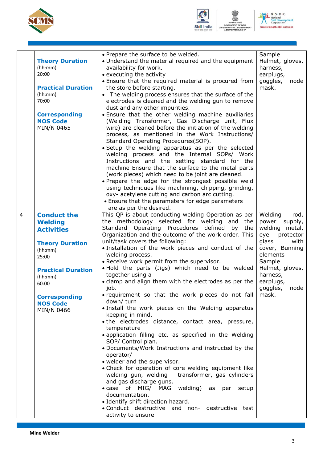





|                |                           | • Prepare the surface to be welded.                                          | Sample                     |
|----------------|---------------------------|------------------------------------------------------------------------------|----------------------------|
|                | <b>Theory Duration</b>    | • Understand the material required and the equipment                         | Helmet, gloves,            |
|                | (hh:mm)                   | availability for work.                                                       | harness,                   |
|                | 20:00                     | • executing the activity                                                     | earplugs,                  |
|                |                           | • Ensure that the required material is procured from                         | goggles,<br>node           |
|                | <b>Practical Duration</b> | the store before starting.                                                   | mask.                      |
|                | (hh:mm)                   | • The welding process ensures that the surface of the                        |                            |
|                | 70:00                     | electrodes is cleaned and the welding gun to remove                          |                            |
|                |                           | dust and any other impurities.                                               |                            |
|                | <b>Corresponding</b>      | . Ensure that the other welding machine auxiliaries                          |                            |
|                | <b>NOS Code</b>           | (Welding Transformer, Gas Discharge unit, Flux                               |                            |
|                | MIN/N 0465                | wire) are cleaned before the initiation of the welding                       |                            |
|                |                           | process, as mentioned in the Work Instructions/                              |                            |
|                |                           |                                                                              |                            |
|                |                           | Standard Operating Procedures(SOP).                                          |                            |
|                |                           | • Setup the welding apparatus as per the selected                            |                            |
|                |                           | welding process and the Internal SOPs/ Work                                  |                            |
|                |                           | Instructions and the setting standard for the                                |                            |
|                |                           | machine Ensure that the surface to the metal parts                           |                            |
|                |                           | (work pieces) which need to be joint are cleaned.                            |                            |
|                |                           | . Prepare the edge for the strongest possible weld                           |                            |
|                |                           | using techniques like machining, chipping, grinding,                         |                            |
|                |                           | oxy- acetylene cutting and carbon arc cutting.                               |                            |
|                |                           | • Ensure that the parameters for edge parameters                             |                            |
|                |                           | are as per the desired.                                                      |                            |
| $\overline{4}$ | <b>Conduct the</b>        | This QP is about conducting welding Operation as per                         | Welding<br>rod,            |
|                | <b>Welding</b>            | the methodology selected for welding and<br>the                              | supply,<br>power           |
|                | <b>Activities</b>         | Standard Operating Procedures defined<br>by<br>the                           | welding<br>metal,          |
|                |                           | Organization and the outcome of the work order. This                         | protector<br>eye           |
|                |                           | unit/task covers the following:                                              | glass<br>with              |
|                | <b>Theory Duration</b>    | · Installation of the work pieces and conduct of the                         |                            |
|                | (hh:mm)                   |                                                                              | cover, Bunning<br>elements |
|                | 25:00                     | welding process.                                                             |                            |
|                |                           | • Receive work permit from the supervisor.                                   | Sample                     |
|                | <b>Practical Duration</b> | . Hold the parts (Jigs) which need to be welded                              | Helmet, gloves,            |
|                | (hh:mm)                   | together using a                                                             | harness,                   |
|                | 60:00                     | · clamp and align them with the electrodes as per the                        | earplugs,                  |
|                |                           | job.                                                                         | goggles,<br>node           |
|                | <b>Corresponding</b>      | • requirement so that the work pieces do not fall                            | mask.                      |
|                | <b>NOS Code</b>           | down/turn                                                                    |                            |
|                | MIN/N 0466                | . Install the work pieces on the Welding apparatus<br>keeping in mind.       |                            |
|                |                           | • the electrodes distance, contact area, pressure,                           |                            |
|                |                           | temperature                                                                  |                            |
|                |                           |                                                                              |                            |
|                |                           | • application filling etc. as specified in the Welding<br>SOP/ Control plan. |                            |
|                |                           | . Documents/Work Instructions and instructed by the                          |                            |
|                |                           | operator/                                                                    |                            |
|                |                           | • welder and the supervisor.                                                 |                            |
|                |                           | • Check for operation of core welding equipment like                         |                            |
|                |                           | welding gun, welding<br>transformer, gas cylinders                           |                            |
|                |                           | and gas discharge guns.                                                      |                            |
|                |                           | • case of MIG/ MAG welding) as per<br>setup                                  |                            |
|                |                           | documentation.                                                               |                            |
|                |                           |                                                                              |                            |
|                |                           | • Identify shift direction hazard.                                           |                            |
|                |                           | • Conduct destructive and non- destructive test                              |                            |
|                |                           | activity to ensure                                                           |                            |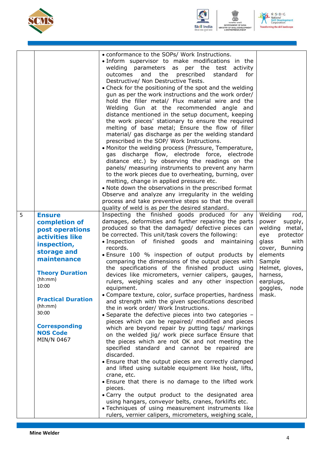





|   |                                         | • conformance to the SOPs/ Work Instructions.<br>. Inform supervisor to make modifications in the<br>welding<br>parameters as per the test activity<br>outcomes<br>and<br>the<br>prescribed<br>standard<br>for<br>Destructive/ Non Destructive Tests.<br>• Check for the positioning of the spot and the welding<br>gun as per the work instructions and the work order/<br>hold the filler metal/ Flux material wire and the<br>Welding Gun at the recommended angle and<br>distance mentioned in the setup document, keeping<br>the work pieces' stationary to ensure the required<br>melting of base metal; Ensure the flow of filler<br>material/ gas discharge as per the welding standard<br>prescribed in the SOP/ Work Instructions.<br>• Monitor the welding process (Pressure, Temperature,<br>gas discharge flow, electrode force, electrode<br>distance etc.) by observing the readings on the<br>panels/ measuring instruments to prevent any harm<br>to the work pieces due to overheating, burning, over<br>melting, change in applied pressure etc.<br>. Note down the observations in the prescribed format<br>Observe and analyze any irregularity in the welding<br>process and take preventive steps so that the overall<br>quality of weld is as per the desired standard. |                                     |
|---|-----------------------------------------|-------------------------------------------------------------------------------------------------------------------------------------------------------------------------------------------------------------------------------------------------------------------------------------------------------------------------------------------------------------------------------------------------------------------------------------------------------------------------------------------------------------------------------------------------------------------------------------------------------------------------------------------------------------------------------------------------------------------------------------------------------------------------------------------------------------------------------------------------------------------------------------------------------------------------------------------------------------------------------------------------------------------------------------------------------------------------------------------------------------------------------------------------------------------------------------------------------------------------------------------------------------------------------------------------|-------------------------------------|
| 5 | <b>Ensure</b><br>completion of          | Inspecting the finished goods produced for any<br>damages, deformities and further repairing the parts                                                                                                                                                                                                                                                                                                                                                                                                                                                                                                                                                                                                                                                                                                                                                                                                                                                                                                                                                                                                                                                                                                                                                                                          | Welding<br>rod,<br>power<br>supply, |
|   | post operations                         | produced so that the damaged/ defective pieces can                                                                                                                                                                                                                                                                                                                                                                                                                                                                                                                                                                                                                                                                                                                                                                                                                                                                                                                                                                                                                                                                                                                                                                                                                                              | welding metal,                      |
|   | activities like                         | be corrected. This unit/task covers the following:                                                                                                                                                                                                                                                                                                                                                                                                                                                                                                                                                                                                                                                                                                                                                                                                                                                                                                                                                                                                                                                                                                                                                                                                                                              | eye<br>protector                    |
|   | inspection,                             | · Inspection of finished goods and<br>maintaining<br>records.                                                                                                                                                                                                                                                                                                                                                                                                                                                                                                                                                                                                                                                                                                                                                                                                                                                                                                                                                                                                                                                                                                                                                                                                                                   | glass<br>with                       |
|   | storage and                             | . Ensure 100 % inspection of output products by                                                                                                                                                                                                                                                                                                                                                                                                                                                                                                                                                                                                                                                                                                                                                                                                                                                                                                                                                                                                                                                                                                                                                                                                                                                 | cover, Bunning<br>elements          |
|   | maintenance                             | comparing the dimensions of the output pieces with                                                                                                                                                                                                                                                                                                                                                                                                                                                                                                                                                                                                                                                                                                                                                                                                                                                                                                                                                                                                                                                                                                                                                                                                                                              | Sample                              |
|   | <b>Theory Duration</b>                  | the specifications of the finished product using                                                                                                                                                                                                                                                                                                                                                                                                                                                                                                                                                                                                                                                                                                                                                                                                                                                                                                                                                                                                                                                                                                                                                                                                                                                | Helmet, gloves,                     |
|   | (hh:mm)                                 | devices like micrometers, vernier calipers, gauges,<br>rulers, weighing scales and any other inspection                                                                                                                                                                                                                                                                                                                                                                                                                                                                                                                                                                                                                                                                                                                                                                                                                                                                                                                                                                                                                                                                                                                                                                                         | harness,<br>earplugs,               |
|   | 10:00                                   | equipment.                                                                                                                                                                                                                                                                                                                                                                                                                                                                                                                                                                                                                                                                                                                                                                                                                                                                                                                                                                                                                                                                                                                                                                                                                                                                                      | goggles,<br>node                    |
|   |                                         | • Compare texture, color, surface properties, hardness                                                                                                                                                                                                                                                                                                                                                                                                                                                                                                                                                                                                                                                                                                                                                                                                                                                                                                                                                                                                                                                                                                                                                                                                                                          | mask.                               |
|   | <b>Practical Duration</b><br>(hh:mm)    | and strength with the given specifications described                                                                                                                                                                                                                                                                                                                                                                                                                                                                                                                                                                                                                                                                                                                                                                                                                                                                                                                                                                                                                                                                                                                                                                                                                                            |                                     |
|   | 30:00                                   | the in work order/ Work Instructions.<br>• Separate the defective pieces into two categories -                                                                                                                                                                                                                                                                                                                                                                                                                                                                                                                                                                                                                                                                                                                                                                                                                                                                                                                                                                                                                                                                                                                                                                                                  |                                     |
|   |                                         | pieces which can be repaired/ modified and pieces                                                                                                                                                                                                                                                                                                                                                                                                                                                                                                                                                                                                                                                                                                                                                                                                                                                                                                                                                                                                                                                                                                                                                                                                                                               |                                     |
|   | <b>Corresponding</b><br><b>NOS Code</b> | which are beyond repair by putting tags/ markings                                                                                                                                                                                                                                                                                                                                                                                                                                                                                                                                                                                                                                                                                                                                                                                                                                                                                                                                                                                                                                                                                                                                                                                                                                               |                                     |
|   | MIN/N 0467                              | on the welded jig/ work piece surface Ensure that<br>the pieces which are not OK and not meeting the                                                                                                                                                                                                                                                                                                                                                                                                                                                                                                                                                                                                                                                                                                                                                                                                                                                                                                                                                                                                                                                                                                                                                                                            |                                     |
|   |                                         | specified standard and cannot be repaired are                                                                                                                                                                                                                                                                                                                                                                                                                                                                                                                                                                                                                                                                                                                                                                                                                                                                                                                                                                                                                                                                                                                                                                                                                                                   |                                     |
|   |                                         | discarded.                                                                                                                                                                                                                                                                                                                                                                                                                                                                                                                                                                                                                                                                                                                                                                                                                                                                                                                                                                                                                                                                                                                                                                                                                                                                                      |                                     |
|   |                                         | • Ensure that the output pieces are correctly clamped<br>and lifted using suitable equipment like hoist, lifts,                                                                                                                                                                                                                                                                                                                                                                                                                                                                                                                                                                                                                                                                                                                                                                                                                                                                                                                                                                                                                                                                                                                                                                                 |                                     |
|   |                                         | crane, etc.                                                                                                                                                                                                                                                                                                                                                                                                                                                                                                                                                                                                                                                                                                                                                                                                                                                                                                                                                                                                                                                                                                                                                                                                                                                                                     |                                     |
|   |                                         | • Ensure that there is no damage to the lifted work                                                                                                                                                                                                                                                                                                                                                                                                                                                                                                                                                                                                                                                                                                                                                                                                                                                                                                                                                                                                                                                                                                                                                                                                                                             |                                     |
|   |                                         | pieces.<br>• Carry the output product to the designated area                                                                                                                                                                                                                                                                                                                                                                                                                                                                                                                                                                                                                                                                                                                                                                                                                                                                                                                                                                                                                                                                                                                                                                                                                                    |                                     |
|   |                                         | using hangars, conveyor belts, cranes, forklifts etc.                                                                                                                                                                                                                                                                                                                                                                                                                                                                                                                                                                                                                                                                                                                                                                                                                                                                                                                                                                                                                                                                                                                                                                                                                                           |                                     |
|   |                                         | · Techniques of using measurement instruments like                                                                                                                                                                                                                                                                                                                                                                                                                                                                                                                                                                                                                                                                                                                                                                                                                                                                                                                                                                                                                                                                                                                                                                                                                                              |                                     |
|   |                                         | rulers, vernier calipers, micrometers, weighing scale,                                                                                                                                                                                                                                                                                                                                                                                                                                                                                                                                                                                                                                                                                                                                                                                                                                                                                                                                                                                                                                                                                                                                                                                                                                          |                                     |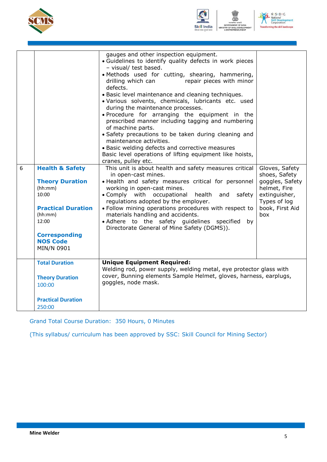





| 6 | <b>Health &amp; Safety</b><br><b>Theory Duration</b><br>(hh:mm)<br>10:00<br><b>Practical Duration</b><br>(hh:mm)<br>12:00<br><b>Corresponding</b><br><b>NOS Code</b><br>MIN/N 0901 | gauges and other inspection equipment.<br>· Guidelines to identify quality defects in work pieces<br>- visual/ test based.<br>· Methods used for cutting, shearing, hammering,<br>repair pieces with minor<br>drilling which can<br>defects.<br>· Basic level maintenance and cleaning techniques.<br>· Various solvents, chemicals, lubricants etc. used<br>during the maintenance processes.<br>. Procedure for arranging the equipment in the<br>prescribed manner including tagging and numbering<br>of machine parts.<br>· Safety precautions to be taken during cleaning and<br>maintenance activities.<br>• Basic welding defects and corrective measures<br>Basic level operations of lifting equipment like hoists,<br>cranes, pulley etc.<br>This unit is about health and safety measures critical<br>in open-cast mines.<br>· Health and safety measures critical for personnel<br>working in open-cast mines.<br>• Comply with occupational<br>health<br>and<br>safety<br>regulations adopted by the employer.<br>. Follow mining operations procedures with respect to<br>materials handling and accidents.<br>• Adhere to the safety guidelines specified<br>by<br>Directorate General of Mine Safety (DGMS)). | Gloves, Safety<br>shoes, Safety<br>goggles, Safety<br>helmet, Fire<br>extinguisher,<br>Types of log<br>book, First Aid<br>box |
|---|------------------------------------------------------------------------------------------------------------------------------------------------------------------------------------|-------------------------------------------------------------------------------------------------------------------------------------------------------------------------------------------------------------------------------------------------------------------------------------------------------------------------------------------------------------------------------------------------------------------------------------------------------------------------------------------------------------------------------------------------------------------------------------------------------------------------------------------------------------------------------------------------------------------------------------------------------------------------------------------------------------------------------------------------------------------------------------------------------------------------------------------------------------------------------------------------------------------------------------------------------------------------------------------------------------------------------------------------------------------------------------------------------------------------------|-------------------------------------------------------------------------------------------------------------------------------|
|   | <b>Total Duration</b>                                                                                                                                                              | <b>Unique Equipment Required:</b>                                                                                                                                                                                                                                                                                                                                                                                                                                                                                                                                                                                                                                                                                                                                                                                                                                                                                                                                                                                                                                                                                                                                                                                             |                                                                                                                               |
|   | <b>Theory Duration</b><br>100:00                                                                                                                                                   | Welding rod, power supply, welding metal, eye protector glass with<br>cover, Bunning elements Sample Helmet, gloves, harness, earplugs,<br>goggles, node mask.                                                                                                                                                                                                                                                                                                                                                                                                                                                                                                                                                                                                                                                                                                                                                                                                                                                                                                                                                                                                                                                                |                                                                                                                               |
|   | <b>Practical Duration</b><br>250:00                                                                                                                                                |                                                                                                                                                                                                                                                                                                                                                                                                                                                                                                                                                                                                                                                                                                                                                                                                                                                                                                                                                                                                                                                                                                                                                                                                                               |                                                                                                                               |

Grand Total Course Duration: 350 Hours, 0 Minutes

(This syllabus/ curriculum has been approved by SSC: Skill Council for Mining Sector)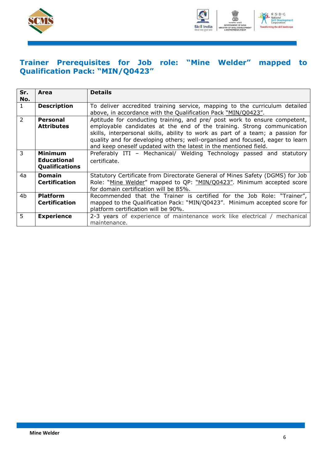



### <span id="page-8-0"></span>**Trainer Prerequisites for Job role: "Mine Welder" mapped to Qualification Pack: "MIN/Q0423"**

| Sr.<br>No.     | Area                                                   | <b>Details</b>                                                                                                                                                                                                                                                                                                                                                                             |
|----------------|--------------------------------------------------------|--------------------------------------------------------------------------------------------------------------------------------------------------------------------------------------------------------------------------------------------------------------------------------------------------------------------------------------------------------------------------------------------|
| $\mathbf{1}$   | <b>Description</b>                                     | To deliver accredited training service, mapping to the curriculum detailed<br>above, in accordance with the Qualification Pack "MIN/Q0423".                                                                                                                                                                                                                                                |
| $\overline{2}$ | <b>Personal</b><br><b>Attributes</b>                   | Aptitude for conducting training, and pre/ post work to ensure competent,<br>employable candidates at the end of the training. Strong communication<br>skills, interpersonal skills, ability to work as part of a team; a passion for<br>quality and for developing others; well-organised and focused, eager to learn<br>and keep oneself updated with the latest in the mentioned field. |
| 3              | Minimum<br><b>Educational</b><br><b>Qualifications</b> | Preferably ITI - Mechanical/ Welding Technology passed and statutory<br>certificate.                                                                                                                                                                                                                                                                                                       |
| 4a             | <b>Domain</b><br><b>Certification</b>                  | Statutory Certificate from Directorate General of Mines Safety (DGMS) for Job<br>Role: "Mine Welder" mapped to QP: "MIN/Q0423". Minimum accepted score<br>for domain certification will be 85%.                                                                                                                                                                                            |
| 4 <sub>b</sub> | <b>Platform</b><br><b>Certification</b>                | Recommended that the Trainer is certified for the Job Role: "Trainer",<br>mapped to the Qualification Pack: "MIN/Q0423". Minimum accepted score for<br>platform certification will be 90%.                                                                                                                                                                                                 |
| 5              | <b>Experience</b>                                      | 2-3 years of experience of maintenance work like electrical / mechanical<br>maintenance.                                                                                                                                                                                                                                                                                                   |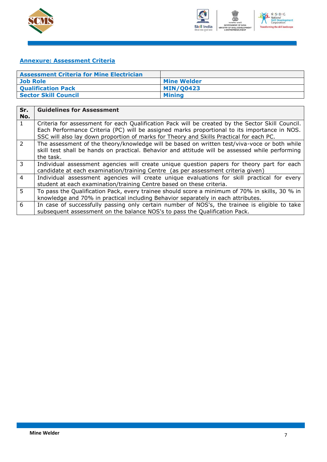



### <span id="page-9-0"></span>**Annexure: Assessment Criteria**

| <b>Assessment Criteria for Mine Electrician</b> |                    |
|-------------------------------------------------|--------------------|
| Job Role                                        | <b>Mine Welder</b> |
| <b>Qualification Pack</b>                       | <b>MIN/00423</b>   |
| <b>Sector Skill Council</b>                     | <b>Mining</b>      |

| Sr.<br>No.     | <b>Guidelines for Assessment</b>                                                                                                                                                                                                                                                            |
|----------------|---------------------------------------------------------------------------------------------------------------------------------------------------------------------------------------------------------------------------------------------------------------------------------------------|
| $\mathbf{1}$   | Criteria for assessment for each Qualification Pack will be created by the Sector Skill Council.<br>Each Performance Criteria (PC) will be assigned marks proportional to its importance in NOS.<br>SSC will also lay down proportion of marks for Theory and Skills Practical for each PC. |
| $\overline{2}$ | The assessment of the theory/knowledge will be based on written test/viva-voce or both while<br>skill test shall be hands on practical. Behavior and attitude will be assessed while performing<br>the task.                                                                                |
| 3              | Individual assessment agencies will create unique question papers for theory part for each<br>candidate at each examination/training Centre (as per assessment criteria given)                                                                                                              |
| $\overline{4}$ | Individual assessment agencies will create unique evaluations for skill practical for every<br>student at each examination/training Centre based on these criteria.                                                                                                                         |
| $\overline{5}$ | To pass the Qualification Pack, every trainee should score a minimum of 70% in skills, 30 % in<br>knowledge and 70% in practical including Behavior separately in each attributes.                                                                                                          |
| 6              | In case of successfully passing only certain number of NOS's, the trainee is eligible to take<br>subsequent assessment on the balance NOS's to pass the Qualification Pack.                                                                                                                 |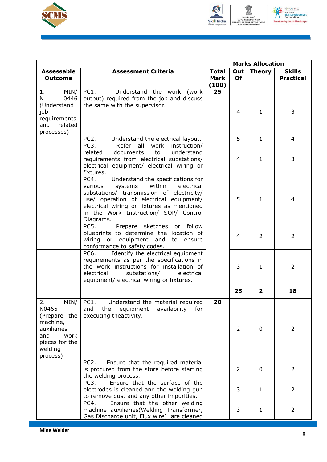



|                                                                                                                        |                                                                                                                                                                                                                                                                                     | <b>Marks Allocation</b>              |                  |                |                                   |
|------------------------------------------------------------------------------------------------------------------------|-------------------------------------------------------------------------------------------------------------------------------------------------------------------------------------------------------------------------------------------------------------------------------------|--------------------------------------|------------------|----------------|-----------------------------------|
| <b>Assessable</b><br><b>Outcome</b>                                                                                    | <b>Assessment Criteria</b>                                                                                                                                                                                                                                                          | <b>Total</b><br><b>Mark</b><br>(100) | Out<br><b>Of</b> | <b>Theory</b>  | <b>Skills</b><br><b>Practical</b> |
| MIN/<br>1.<br>N.<br>0446<br>(Understand<br>job<br>requirements<br>related<br>and<br>processes)                         | PC1.<br>Understand the work (work<br>output) required from the job and discuss<br>the same with the supervisor.                                                                                                                                                                     | 25                                   | 4                | $\mathbf{1}$   | 3                                 |
|                                                                                                                        | PC <sub>2</sub> .<br>Understand the electrical layout.                                                                                                                                                                                                                              |                                      | 5                | $\mathbf{1}$   | 4                                 |
|                                                                                                                        | PC3.<br>Refer all<br>work<br>instruction/<br>related<br>documents<br>to<br>understand<br>requirements from electrical substations/<br>electrical equipment/ electrical wiring or<br>fixtures.                                                                                       |                                      | 4                | $\mathbf{1}$   | 3                                 |
|                                                                                                                        | Understand the specifications for<br>PC4.<br>systems<br>within<br>electrical<br>various<br>substations/ transmission of electricity/<br>use/ operation of electrical equipment/<br>electrical wiring or fixtures as mentioned<br>in the Work Instruction/ SOP/ Control<br>Diagrams. |                                      | 5                | $\mathbf{1}$   | 4                                 |
|                                                                                                                        | Prepare sketches or follow<br>PC5.<br>blueprints to determine the location of<br>wiring or equipment and<br>to ensure<br>conformance to safety codes.                                                                                                                               |                                      | 4                | 2              | $\overline{2}$                    |
|                                                                                                                        | Identify the electrical equipment<br>PC6.<br>requirements as per the specifications in<br>the work instructions for installation of<br>electrical<br>substations/<br>electrical<br>equipment/ electrical wiring or fixtures.                                                        |                                      | 3                | $\mathbf{1}$   | $\overline{2}$                    |
|                                                                                                                        |                                                                                                                                                                                                                                                                                     |                                      | 25               | $\overline{2}$ | 18                                |
| 2.<br>MIN/<br>N0465<br>(Prepare the<br>machine,<br>auxiliaries<br>work<br>and<br>pieces for the<br>welding<br>process) | PC1.<br>Understand the material required<br>and<br>the<br>equipment<br>availability<br>for<br>executing theactivity.                                                                                                                                                                | 20                                   | 2                | 0              | $\overline{2}$                    |
|                                                                                                                        | PC <sub>2</sub> .<br>Ensure that the required material<br>is procured from the store before starting<br>the welding process.                                                                                                                                                        |                                      | 2                | $\mathbf 0$    | $\overline{2}$                    |
|                                                                                                                        | Ensure that the surface of the<br>PC <sub>3</sub> .<br>electrodes is cleaned and the welding gun<br>to remove dust and any other impurities.                                                                                                                                        |                                      | 3                | $\mathbf{1}$   | $\overline{2}$                    |
|                                                                                                                        | PC4.<br>Ensure that the other welding<br>machine auxiliaries (Welding Transformer,<br>Gas Discharge unit, Flux wire) are cleaned                                                                                                                                                    |                                      | 3                | $\mathbf{1}$   | $\overline{2}$                    |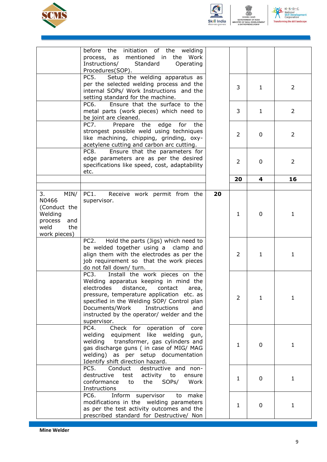





|                                                                                                 | before the initiation of the welding<br>process, as mentioned in the Work<br>Instructions/<br>Standard<br>Operating<br>Procedures(SOP).                                                                                                                                                                                |    |                |              |                |
|-------------------------------------------------------------------------------------------------|------------------------------------------------------------------------------------------------------------------------------------------------------------------------------------------------------------------------------------------------------------------------------------------------------------------------|----|----------------|--------------|----------------|
|                                                                                                 | Setup the welding apparatus as<br>PC5.<br>per the selected welding process and the<br>internal SOPs/ Work Instructions and the<br>setting standard for the machine.                                                                                                                                                    |    | 3              | $\mathbf{1}$ | 2              |
|                                                                                                 | Ensure that the surface to the<br>PC6.<br>metal parts (work pieces) which need to<br>be joint are cleaned.                                                                                                                                                                                                             |    | 3              | $\mathbf{1}$ | $\overline{2}$ |
|                                                                                                 | PC7.<br>the<br>edge<br>Prepare<br>for<br>the<br>strongest possible weld using techniques<br>like machining, chipping, grinding, oxy-<br>acetylene cutting and carbon arc cutting.                                                                                                                                      |    | $\overline{2}$ | 0            | $\overline{2}$ |
|                                                                                                 | PC8.<br>Ensure that the parameters for<br>edge parameters are as per the desired<br>specifications like speed, cost, adaptability<br>etc.                                                                                                                                                                              |    | 2              | $\mathbf{0}$ | 2              |
|                                                                                                 |                                                                                                                                                                                                                                                                                                                        |    | 20             | 4            | 16             |
| 3.<br>MIN/<br>N0466<br>(Conduct the<br>Welding<br>process<br>and<br>weld<br>the<br>work pieces) | PC1.<br>Receive work permit from the<br>supervisor.                                                                                                                                                                                                                                                                    | 20 | $\mathbf{1}$   | $\mathbf 0$  | 1              |
|                                                                                                 | Hold the parts (Jigs) which need to<br>PC2.<br>be welded together using a clamp and<br>align them with the electrodes as per the<br>job requirement so that the work pieces<br>do not fall down/ turn.                                                                                                                 |    | 2              | 1            | 1              |
|                                                                                                 | PC3.<br>Install the work pieces on the<br>Welding apparatus keeping in mind the<br>electrodes distance, contact area,<br>pressure, temperature application etc. as<br>specified in the Welding SOP/ Control plan<br>Documents/Work<br>Instructions<br>and<br>instructed by the operator/ welder and the<br>supervisor. |    | $\overline{2}$ | $\mathbf{1}$ | 1              |
|                                                                                                 | PC4.<br>Check for operation of core<br>welding<br>equipment like welding<br>gun,<br>transformer, gas cylinders and<br>welding<br>gas discharge guns ( in case of MIG/ MAG<br>welding) as per setup documentation<br>Identify shift direction hazard.                                                                   |    | $\mathbf{1}$   | 0            | 1              |
|                                                                                                 | PC5.<br>Conduct<br>destructive and non-<br>destructive<br>test<br>activity<br>to<br>ensure<br>conformance<br>the<br>SOP <sub>s</sub> /<br>Work<br>to<br>Instructions                                                                                                                                                   |    | $\mathbf{1}$   | $\mathbf 0$  | 1              |
|                                                                                                 | PC6.<br>Inform supervisor<br>make<br>to<br>modifications in the welding parameters<br>as per the test activity outcomes and the<br>prescribed standard for Destructive/ Non                                                                                                                                            |    | 1              | $\mathbf 0$  | 1              |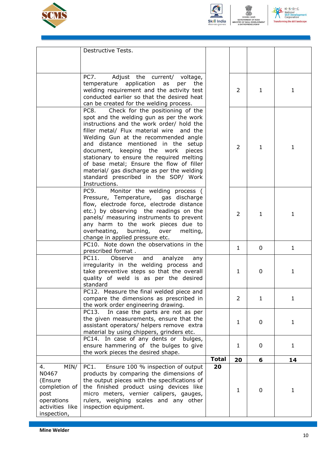





|                               | Destructive Tests.                                                                    |              |                |              |              |
|-------------------------------|---------------------------------------------------------------------------------------|--------------|----------------|--------------|--------------|
|                               |                                                                                       |              |                |              |              |
|                               |                                                                                       |              |                |              |              |
|                               |                                                                                       |              |                |              |              |
|                               | PC7.<br>Adjust the current/ voltage,<br>temperature application as<br>per<br>the      |              |                |              |              |
|                               | welding requirement and the activity test                                             |              | 2              | $\mathbf{1}$ | $\mathbf{1}$ |
|                               | conducted earlier so that the desired heat                                            |              |                |              |              |
|                               | can be created for the welding process.                                               |              |                |              |              |
|                               | Check for the positioning of the<br>PC8.                                              |              |                |              |              |
|                               | spot and the welding gun as per the work<br>instructions and the work order/ hold the |              |                |              |              |
|                               | filler metal/ Flux material wire and the                                              |              |                |              |              |
|                               | Welding Gun at the recommended angle                                                  |              |                |              |              |
|                               | and distance mentioned in the setup                                                   |              | 2              | $\mathbf{1}$ | $\mathbf{1}$ |
|                               | document, keeping the work<br>pieces                                                  |              |                |              |              |
|                               | stationary to ensure the required melting<br>of base metal; Ensure the flow of filler |              |                |              |              |
|                               | material/ gas discharge as per the welding                                            |              |                |              |              |
|                               | standard prescribed in the SOP/ Work                                                  |              |                |              |              |
|                               | Instructions.                                                                         |              |                |              |              |
|                               | Monitor the welding process (<br>PC9.                                                 |              |                |              |              |
|                               | Pressure, Temperature, gas discharge                                                  |              |                |              |              |
|                               | flow, electrode force, electrode distance                                             |              |                |              |              |
|                               | etc.) by observing the readings on the<br>panels/ measuring instruments to prevent    |              | $\overline{2}$ | $\mathbf{1}$ | $\mathbf{1}$ |
|                               | any harm to the work pieces due to                                                    |              |                |              |              |
|                               | overheating, burning,<br>over<br>melting,                                             |              |                |              |              |
|                               | change in applied pressure etc.                                                       |              |                |              |              |
|                               | PC10. Note down the observations in the                                               |              | 1              | $\mathbf{0}$ | $\mathbf{1}$ |
|                               | prescribed format.<br>PC11.                                                           |              |                |              |              |
|                               | Observe<br>and<br>analyze<br>any<br>irregularity in the welding process and           |              |                |              |              |
|                               | take preventive steps so that the overall                                             |              | $\mathbf{1}$   | $\mathbf 0$  | $\mathbf{1}$ |
|                               | quality of weld is as per the desired                                                 |              |                |              |              |
|                               | standard                                                                              |              |                |              |              |
|                               | PC12. Measure the final welded piece and                                              |              |                |              |              |
|                               | compare the dimensions as prescribed in                                               |              | 2              | $\mathbf{1}$ | $\mathbf{1}$ |
|                               | the work order engineering drawing.<br>In case the parts are not as per<br>PC13.      |              |                |              |              |
|                               | the given measurements, ensure that the                                               |              |                |              |              |
|                               | assistant operators/ helpers remove extra                                             |              | $\mathbf{1}$   | $\mathbf 0$  | $\mathbf{1}$ |
|                               | material by using chippers, grinders etc.                                             |              |                |              |              |
|                               | PC14. In case of any dents or<br>bulges,                                              |              |                |              |              |
|                               | ensure hammering of the bulges to give                                                |              | 1              | $\mathbf 0$  | $\mathbf{1}$ |
|                               | the work pieces the desired shape.                                                    | <b>Total</b> | 20             | 6            | 14           |
| MIN/<br>4.                    | Ensure 100 % inspection of output<br>PC1.                                             | 20           |                |              |              |
| N0467                         | products by comparing the dimensions of                                               |              |                |              |              |
| (Ensure                       | the output pieces with the specifications of                                          |              |                |              |              |
| completion of                 | the finished product using devices like                                               |              | $\mathbf{1}$   | 0            | $\mathbf{1}$ |
| post                          | micro meters, vernier calipers, gauges,                                               |              |                |              |              |
| operations<br>activities like | rulers, weighing scales and any other<br>inspection equipment.                        |              |                |              |              |
| inspection,                   |                                                                                       |              |                |              |              |
|                               |                                                                                       |              |                |              |              |